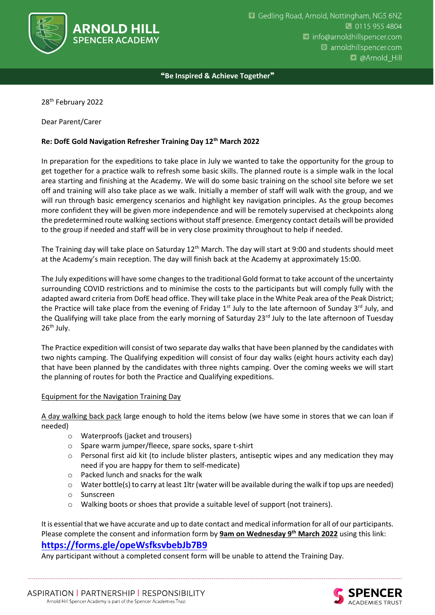

❝**Be Inspired & Achieve Together**❞

28<sup>th</sup> February 2022

Dear Parent/Carer

## **Re: DofE Gold Navigation Refresher Training Day 12th March 2022**

In preparation for the expeditions to take place in July we wanted to take the opportunity for the group to get together for a practice walk to refresh some basic skills. The planned route is a simple walk in the local area starting and finishing at the Academy. We will do some basic training on the school site before we set off and training will also take place as we walk. Initially a member of staff will walk with the group, and we will run through basic emergency scenarios and highlight key navigation principles. As the group becomes more confident they will be given more independence and will be remotely supervised at checkpoints along the predetermined route walking sections without staff presence. Emergency contact details will be provided to the group if needed and staff will be in very close proximity throughout to help if needed.

The Training day will take place on Saturday 12<sup>th</sup> March. The day will start at 9:00 and students should meet at the Academy's main reception. The day will finish back at the Academy at approximately 15:00.

The July expeditions will have some changes to the traditional Gold format to take account of the uncertainty surrounding COVID restrictions and to minimise the costs to the participants but will comply fully with the adapted award criteria from DofE head office. They will take place in the White Peak area of the Peak District; the Practice will take place from the evening of Friday 1<sup>st</sup> July to the late afternoon of Sunday 3<sup>rd</sup> July, and the Qualifying will take place from the early morning of Saturday 23rd July to the late afternoon of Tuesday 26<sup>th</sup> July.

The Practice expedition will consist of two separate day walks that have been planned by the candidates with two nights camping. The Qualifying expedition will consist of four day walks (eight hours activity each day) that have been planned by the candidates with three nights camping. Over the coming weeks we will start the planning of routes for both the Practice and Qualifying expeditions.

## Equipment for the Navigation Training Day

A day walking back pack large enough to hold the items below (we have some in stores that we can loan if needed)

- o Waterproofs (jacket and trousers)
- o Spare warm jumper/fleece, spare socks, spare t-shirt
- $\circ$  Personal first aid kit (to include blister plasters, antiseptic wipes and any medication they may need if you are happy for them to self-medicate)
- o Packed lunch and snacks for the walk
- $\circ$  Water bottle(s) to carry at least 1ltr (water will be available during the walk if top ups are needed)
- o Sunscreen
- o Walking boots or shoes that provide a suitable level of support (not trainers).

It is essential that we have accurate and up to date contact and medical information for all of our participants. Please complete the consent and information form by **9am on Wednesday 9th March 2022** using this link:

## **<https://forms.gle/opeWsfksvbebJb7B9>**

Any participant without a completed consent form will be unable to attend the Training Day.

ASPIRATION | PARTNERSHIP | RESPONSIBILITY Arnold Hill Spencer Academy is part of the Spencer Academies Trust